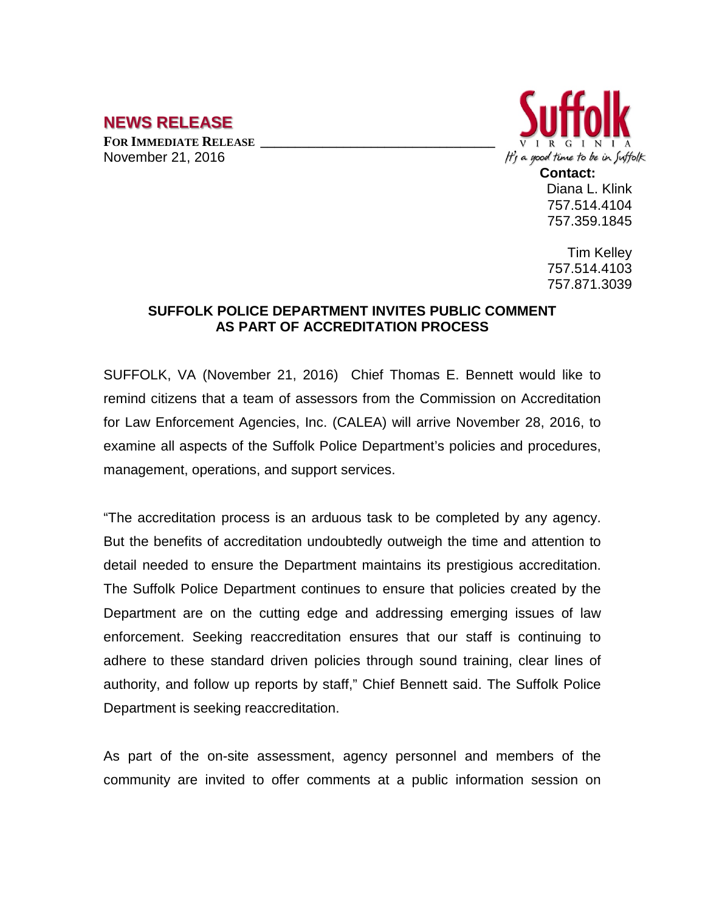## **NEWS RELEASE**

**FOR IMMEDIATE RELEASE \_\_\_\_\_\_\_\_\_\_\_\_\_\_\_\_\_\_\_\_\_\_\_\_\_\_\_\_\_\_\_\_\_\_** November 21, 2016



Diana L. Klink 757.514.4104 757.359.1845

Tim Kelley 757.514.4103 757.871.3039

## **SUFFOLK POLICE DEPARTMENT INVITES PUBLIC COMMENT AS PART OF ACCREDITATION PROCESS**

SUFFOLK, VA (November 21, 2016) Chief Thomas E. Bennett would like to remind citizens that a team of assessors from the Commission on Accreditation for Law Enforcement Agencies, Inc. (CALEA) will arrive November 28, 2016, to examine all aspects of the Suffolk Police Department's policies and procedures, management, operations, and support services.

"The accreditation process is an arduous task to be completed by any agency. But the benefits of accreditation undoubtedly outweigh the time and attention to detail needed to ensure the Department maintains its prestigious accreditation. The Suffolk Police Department continues to ensure that policies created by the Department are on the cutting edge and addressing emerging issues of law enforcement. Seeking reaccreditation ensures that our staff is continuing to adhere to these standard driven policies through sound training, clear lines of authority, and follow up reports by staff," Chief Bennett said. The Suffolk Police Department is seeking reaccreditation.

As part of the on-site assessment, agency personnel and members of the community are invited to offer comments at a public information session on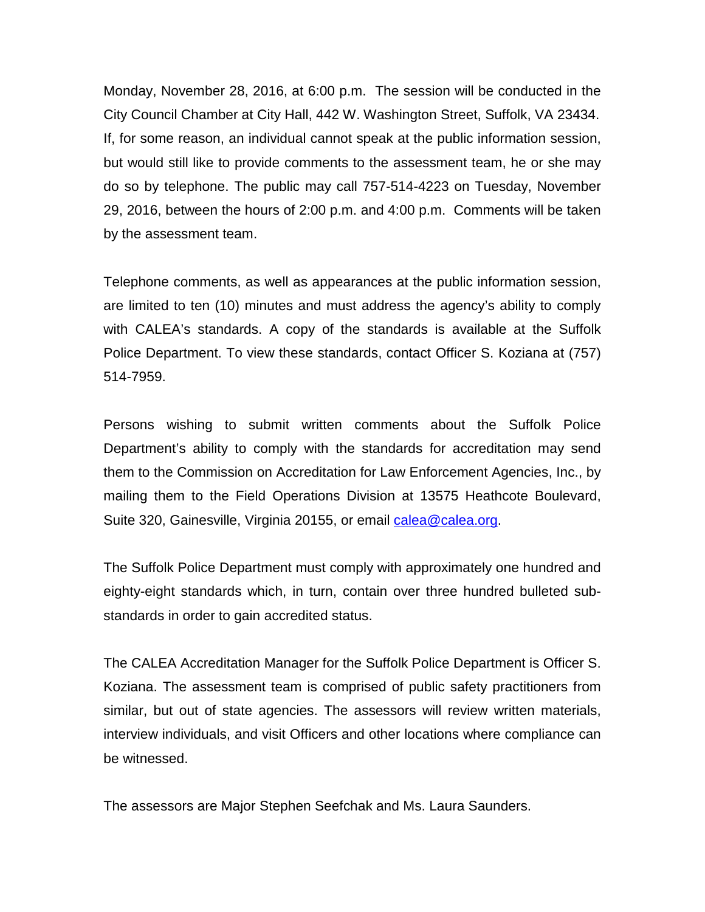Monday, November 28, 2016, at 6:00 p.m. The session will be conducted in the City Council Chamber at City Hall, 442 W. Washington Street, Suffolk, VA 23434. If, for some reason, an individual cannot speak at the public information session, but would still like to provide comments to the assessment team, he or she may do so by telephone. The public may call 757-514-4223 on Tuesday, November 29, 2016, between the hours of 2:00 p.m. and 4:00 p.m. Comments will be taken by the assessment team.

Telephone comments, as well as appearances at the public information session, are limited to ten (10) minutes and must address the agency's ability to comply with CALEA's standards. A copy of the standards is available at the Suffolk Police Department. To view these standards, contact Officer S. Koziana at (757) 514-7959.

Persons wishing to submit written comments about the Suffolk Police Department's ability to comply with the standards for accreditation may send them to the Commission on Accreditation for Law Enforcement Agencies, Inc., by mailing them to the Field Operations Division at 13575 Heathcote Boulevard, Suite 320, Gainesville, Virginia 20155, or email [calea@calea.org.](mailto:calea@calea.org)

The Suffolk Police Department must comply with approximately one hundred and eighty-eight standards which, in turn, contain over three hundred bulleted substandards in order to gain accredited status.

The CALEA Accreditation Manager for the Suffolk Police Department is Officer S. Koziana. The assessment team is comprised of public safety practitioners from similar, but out of state agencies. The assessors will review written materials, interview individuals, and visit Officers and other locations where compliance can be witnessed.

The assessors are Major Stephen Seefchak and Ms. Laura Saunders.